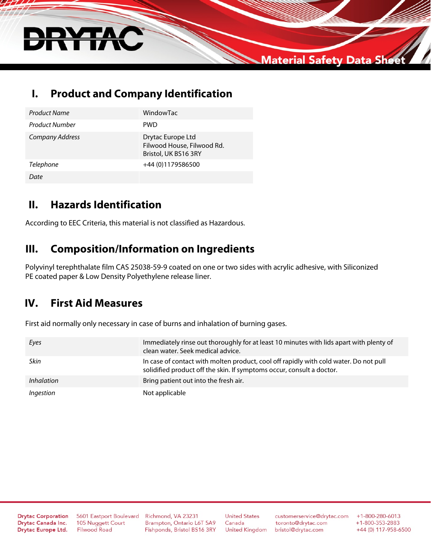

## **I. Product and Company Identification**

| <b>Product Name</b> | WindowTac                                                               |
|---------------------|-------------------------------------------------------------------------|
| Product Number      | <b>PWD</b>                                                              |
| Company Address     | Drytac Europe Ltd<br>Filwood House, Filwood Rd.<br>Bristol, UK BS16 3RY |
| <b>Telephone</b>    | +44 (0)1179586500                                                       |
| Date                |                                                                         |

## **II. Hazards Identification**

According to EEC Criteria, this material is not classified as Hazardous.

#### **III. Composition/Information on Ingredients**

Polyvinyl terephthalate film CAS 25038-59-9 coated on one or two sides with acrylic adhesive, with Siliconized PE coated paper & Low Density Polyethylene release liner.

#### **IV. First Aid Measures**

First aid normally only necessary in case of burns and inhalation of burning gases.

| Eyes       | Immediately rinse out thoroughly for at least 10 minutes with lids apart with plenty of<br>clean water. Seek medical advice.                                   |
|------------|----------------------------------------------------------------------------------------------------------------------------------------------------------------|
| Skin       | In case of contact with molten product, cool off rapidly with cold water. Do not pull<br>solidified product off the skin. If symptoms occur, consult a doctor. |
| Inhalation | Bring patient out into the fresh air.                                                                                                                          |
| Ingestion  | Not applicable                                                                                                                                                 |

**Drytac Corporation** Drytac Canada Inc. Drytac Europe Ltd.

5601 Eastport Boulevard 105 Nuggett Court **Filwood Road** 

Richmond, VA 23231 Brampton, Ontario L6T 5A9 Fishponds, Bristol BS16 3RY

**United States** Canada **United Kingdom** 

customerservice@drytac.com toronto@drytac.com bristol@drytac.com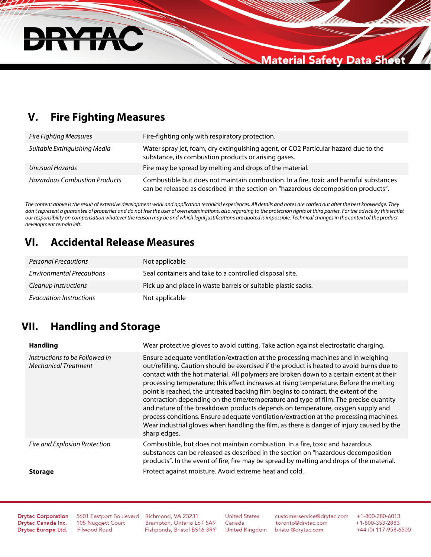

## **V. Fire Fighting Measures**

| <b>Fire Fighting Measures</b>        | Fire-fighting only with respiratory protection.                                                                                                                             |
|--------------------------------------|-----------------------------------------------------------------------------------------------------------------------------------------------------------------------------|
| Suitable Extinguishing Media         | Water spray jet, foam, dry extinguishing agent, or CO2 Particular hazard due to the<br>substance, its combustion products or arising gases.                                 |
| Unusual Hazards                      | Fire may be spread by melting and drops of the material.                                                                                                                    |
| <b>Hazardous Combustion Products</b> | Combustible but does not maintain combustion. In a fire, toxic and harmful substances<br>can be released as described in the section on "hazardous decomposition products". |

*The content above is the result of extensive development work and application technical experiences. All details and notes are carried out after the best knowledge. They*  don't represent a guarantee of properties and do not free the user of own examinations, also regarding to the protection rights of third parties. For the advice by this leaflet *our responsibility on compensation whatever the reason may be and which legal justifications are quoted is impossible. Technical changes in the context of the product development remain left.*

#### **VI. Accidental Release Measures**

| <b>Personal Precautions</b>      | Not applicable                                                |
|----------------------------------|---------------------------------------------------------------|
| <b>Environmental Precautions</b> | Seal containers and take to a controlled disposal site.       |
| Cleanup Instructions             | Pick up and place in waste barrels or suitable plastic sacks. |
| Evacuation Instructions          | Not applicable                                                |

## **VII. Handling and Storage**

| <b>Handling</b>                                               | Wear protective gloves to avoid cutting. Take action against electrostatic charging.                                                                                                                                                                                                                                                                                                                                                                                                                                                                                                                                                                                                                                                                                                                                                         |
|---------------------------------------------------------------|----------------------------------------------------------------------------------------------------------------------------------------------------------------------------------------------------------------------------------------------------------------------------------------------------------------------------------------------------------------------------------------------------------------------------------------------------------------------------------------------------------------------------------------------------------------------------------------------------------------------------------------------------------------------------------------------------------------------------------------------------------------------------------------------------------------------------------------------|
| Instructions to be Followed in<br><b>Mechanical Treatment</b> | Ensure adequate ventilation/extraction at the processing machines and in weighing<br>out/refilling. Caution should be exercised if the product is heated to avoid burns due to<br>contact with the hot material. All polymers are broken down to a certain extent at their<br>processing temperature; this effect increases at rising temperature. Before the melting<br>point is reached, the untreated backing film begins to contract, the extent of the<br>contraction depending on the time/temperature and type of film. The precise quantity<br>and nature of the breakdown products depends on temperature, oxygen supply and<br>process conditions. Ensure adequate ventilation/extraction at the processing machines.<br>Wear industrial gloves when handling the film, as there is danger of injury caused by the<br>sharp edges. |
| Fire and Explosion Protection                                 | Combustible, but does not maintain combustion. In a fire, toxic and hazardous<br>substances can be released as described in the section on "hazardous decomposition<br>products". In the event of fire, fire may be spread by melting and drops of the material.                                                                                                                                                                                                                                                                                                                                                                                                                                                                                                                                                                             |
| <b>Storage</b>                                                | Protect against moisture. Avoid extreme heat and cold.                                                                                                                                                                                                                                                                                                                                                                                                                                                                                                                                                                                                                                                                                                                                                                                       |

**Drytac Corporation** Drytac Canada Inc. Drytac Europe Ltd.

5601 Eastport Boulevard 105 Nuggett Court **Filwood Road** 

Richmond, VA 23231 Brampton, Ontario L6T 5A9 Fishponds, Bristol BS16 3RY

**United States** Canada **United Kingdom** 

customerservice@drytac.com toronto@drytac.com bristol@drytac.com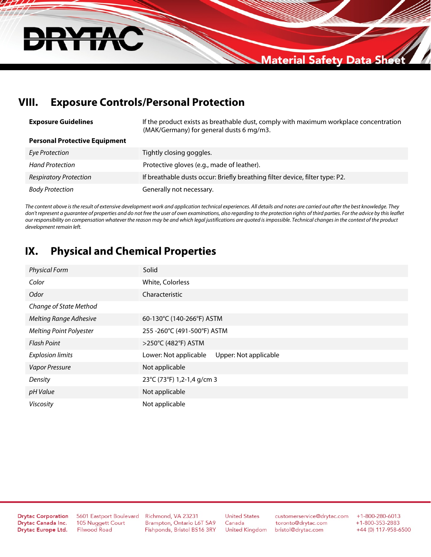

## **VIII. Exposure Controls/Personal Protection**

| <b>Exposure Guidelines</b>           | If the product exists as breathable dust, comply with maximum workplace concentration<br>(MAK/Germany) for general dusts 6 mg/m3. |
|--------------------------------------|-----------------------------------------------------------------------------------------------------------------------------------|
| <b>Personal Protective Equipment</b> |                                                                                                                                   |
| Eye Protection                       | Tightly closing goggles.                                                                                                          |
| <b>Hand Protection</b>               | Protective gloves (e.g., made of leather).                                                                                        |
| <b>Respiratory Protection</b>        | If breathable dusts occur: Briefly breathing filter device, filter type: P2.                                                      |
| <b>Body Protection</b>               | Generally not necessary.                                                                                                          |

*The content above is the result of extensive development work and application technical experiences. All details and notes are carried out after the best knowledge. They don't represent a guarantee of properties and do not free the user of own examinations, also regarding to the protection rights of third parties. For the advice by this leaflet our responsibility on compensation whatever the reason may be and which legal justifications are quoted is impossible. Technical changes in the context of the product development remain left.*

#### **IX. Physical and Chemical Properties**

| <b>Physical Form</b>           | Solid                                          |
|--------------------------------|------------------------------------------------|
| Color                          | White, Colorless                               |
| Odor                           | Characteristic                                 |
| Change of State Method         |                                                |
| <b>Melting Range Adhesive</b>  | 60-130°C (140-266°F) ASTM                      |
| <b>Melting Point Polyester</b> | 255 - 260°C (491-500°F) ASTM                   |
| <b>Flash Point</b>             | >250°C (482°F) ASTM                            |
| <b>Explosion limits</b>        | Lower: Not applicable<br>Upper: Not applicable |
| Vapor Pressure                 | Not applicable                                 |
| Density                        | 23°C (73°F) 1,2-1,4 g/cm 3                     |
| pH Value                       | Not applicable                                 |
| Viscosity                      | Not applicable                                 |

**Drytac Corporation** Drytac Canada Inc. Drytac Europe Ltd.

5601 Eastport Boulevard 105 Nuggett Court **Filwood Road** 

Richmond, VA 23231 Brampton, Ontario L6T 5A9 Fishponds, Bristol BS16 3RY **United States** Canada **United Kingdom** 

customerservice@drytac.com toronto@drytac.com bristol@drytac.com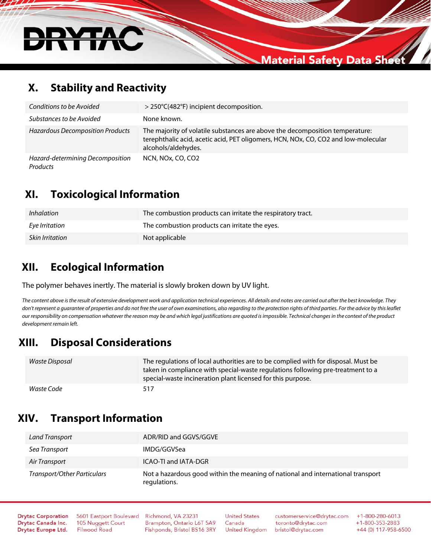

#### **X. Stability and Reactivity**

| Conditions to be Avoided                     | > 250°C(482°F) incipient decomposition.                                                                                                                                                   |
|----------------------------------------------|-------------------------------------------------------------------------------------------------------------------------------------------------------------------------------------------|
| Substances to be Avoided                     | None known.                                                                                                                                                                               |
| <b>Hazardous Decomposition Products</b>      | The majority of volatile substances are above the decomposition temperature:<br>terephthalic acid, acetic acid, PET oligomers, HCN, NOx, CO, CO2 and low-molecular<br>alcohols/aldehydes. |
| Hazard-determining Decomposition<br>Products | NCN, NOx, CO, CO2                                                                                                                                                                         |

#### **XI. Toxicological Information**

| <i>Inhalation</i> | The combustion products can irritate the respiratory tract. |
|-------------------|-------------------------------------------------------------|
| Eye Irritation    | The combustion products can irritate the eyes.              |
| Skin Irritation   | Not applicable                                              |

## **XII. Ecological Information**

The polymer behaves inertly. The material is slowly broken down by UV light.

*The content above is the result of extensive development work and application technical experiences. All details and notes are carried out after the best knowledge. They*  don't represent a quarantee of properties and do not free the user of own examinations, also regarding to the protection rights of third parties. For the advice by this leaflet *our responsibility on compensation whatever the reason may be and which legal justifications are quoted is impossible. Technical changes in the context of the product development remain left.*

## **XIII. Disposal Considerations**

| Waste Disposal | The regulations of local authorities are to be complied with for disposal. Must be<br>taken in compliance with special-waste regulations following pre-treatment to a<br>special-waste incineration plant licensed for this purpose. |
|----------------|--------------------------------------------------------------------------------------------------------------------------------------------------------------------------------------------------------------------------------------|
| Waste Code     | 517                                                                                                                                                                                                                                  |

## **XIV. Transport Information**

| Land Transport              | ADR/RID and GGVS/GGVE                                                                           |
|-----------------------------|-------------------------------------------------------------------------------------------------|
| Sea Transport               | IMDG/GGVSea                                                                                     |
| Air Transport               | <b>ICAO-TI and IATA-DGR</b>                                                                     |
| Transport/Other Particulars | Not a hazardous good within the meaning of national and international transport<br>regulations. |

**Drytac Corporation** Drytac Canada Inc. Drytac Europe Ltd. 5601 Eastport Boulevard 105 Nuggett Court **Filwood Road** 

Richmond, VA 23231 Brampton, Ontario L6T 5A9 Fishponds, Bristol BS16 3RY

**United States** Canada **United Kingdom** 

customerservice@drytac.com toronto@drytac.com bristol@drytac.com